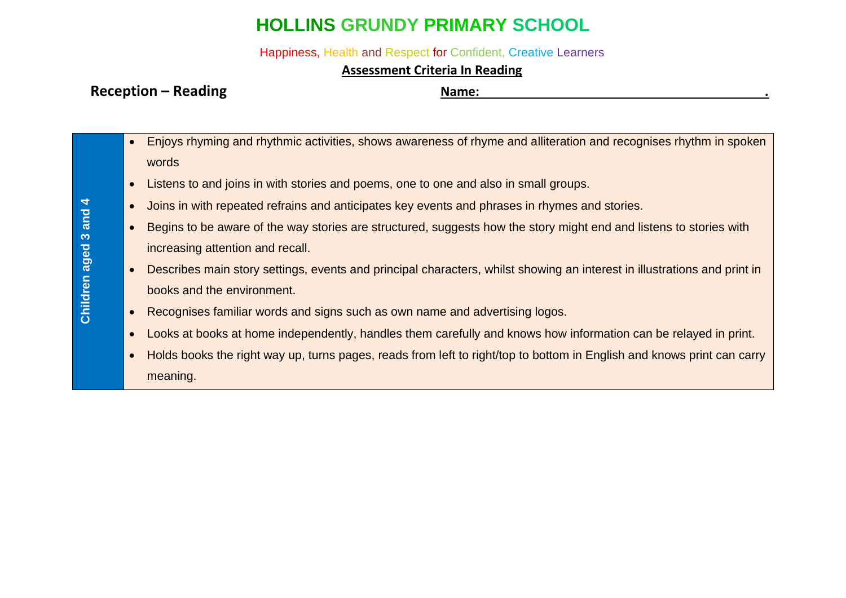## **HOLLINS GRUNDY PRIMARY SCHOOL**

Happiness, Health and Respect for Confident, Creative Learners

## **Assessment Criteria In Reading**

## **Reception – Reading Name: .**

- Enjoys rhyming and rhythmic activities, shows awareness of rhyme and alliteration and recognises rhythm in spoken words
	- Listens to and joins in with stories and poems, one to one and also in small groups.
	- Joins in with repeated refrains and anticipates key events and phrases in rhymes and stories.
	- Begins to be aware of the way stories are structured, suggests how the story might end and listens to stories with increasing attention and recall.
	- Describes main story settings, events and principal characters, whilst showing an interest in illustrations and print in books and the environment.
	- Recognises familiar words and signs such as own name and advertising logos.
	- Looks at books at home independently, handles them carefully and knows how information can be relayed in print.
	- Holds books the right way up, turns pages, reads from left to right/top to bottom in English and knows print can carry meaning.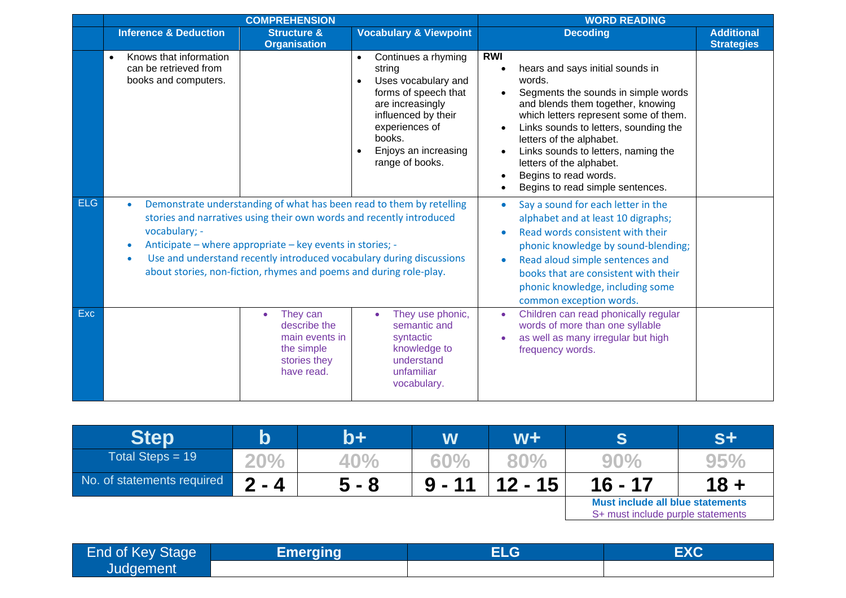|            |                                                                                                                                                                                                                                                                                                                                                                          | <b>COMPREHENSION</b>                                                                                | <b>WORD READING</b>                                                                                                                                                                                                                   |                                                                                                                                                                                                                                                                                                                                                                                    |                                        |  |
|------------|--------------------------------------------------------------------------------------------------------------------------------------------------------------------------------------------------------------------------------------------------------------------------------------------------------------------------------------------------------------------------|-----------------------------------------------------------------------------------------------------|---------------------------------------------------------------------------------------------------------------------------------------------------------------------------------------------------------------------------------------|------------------------------------------------------------------------------------------------------------------------------------------------------------------------------------------------------------------------------------------------------------------------------------------------------------------------------------------------------------------------------------|----------------------------------------|--|
|            | <b>Inference &amp; Deduction</b>                                                                                                                                                                                                                                                                                                                                         | <b>Structure &amp;</b><br><b>Organisation</b>                                                       | <b>Vocabulary &amp; Viewpoint</b>                                                                                                                                                                                                     | <b>Decoding</b>                                                                                                                                                                                                                                                                                                                                                                    | <b>Additional</b><br><b>Strategies</b> |  |
|            | Knows that information<br>can be retrieved from<br>books and computers.                                                                                                                                                                                                                                                                                                  |                                                                                                     | Continues a rhyming<br>$\bullet$<br>string<br>Uses vocabulary and<br>$\bullet$<br>forms of speech that<br>are increasingly<br>influenced by their<br>experiences of<br>books.<br>Enjoys an increasing<br>$\bullet$<br>range of books. | <b>RWI</b><br>hears and says initial sounds in<br>words.<br>Segments the sounds in simple words<br>and blends them together, knowing<br>which letters represent some of them.<br>Links sounds to letters, sounding the<br>letters of the alphabet.<br>Links sounds to letters, naming the<br>letters of the alphabet.<br>Begins to read words.<br>Begins to read simple sentences. |                                        |  |
| <b>ELG</b> | Demonstrate understanding of what has been read to them by retelling<br>stories and narratives using their own words and recently introduced<br>vocabulary; -<br>Anticipate – where appropriate – key events in stories; -<br>Use and understand recently introduced vocabulary during discussions<br>about stories, non-fiction, rhymes and poems and during role-play. |                                                                                                     |                                                                                                                                                                                                                                       | Say a sound for each letter in the<br>$\bullet$<br>alphabet and at least 10 digraphs;<br>Read words consistent with their<br>phonic knowledge by sound-blending;<br>Read aloud simple sentences and<br>books that are consistent with their<br>phonic knowledge, including some<br>common exception words.                                                                         |                                        |  |
| <b>Exc</b> |                                                                                                                                                                                                                                                                                                                                                                          | They can<br>$\bullet$<br>describe the<br>main events in<br>the simple<br>stories they<br>have read. | They use phonic,<br>semantic and<br>syntactic<br>knowledge to<br>understand<br>unfamiliar<br>vocabulary.                                                                                                                              | Children can read phonically regular<br>words of more than one syllable<br>as well as many irregular but high<br>frequency words.                                                                                                                                                                                                                                                  |                                        |  |

| <b>Step</b>                | $\bold{b}$ | b+      | W        | $W +$     | S                                                                     | $S+$ |
|----------------------------|------------|---------|----------|-----------|-----------------------------------------------------------------------|------|
| Total Steps = $19$         | 20%        | 40%     | 60%      | 80%       | 90%                                                                   | 95%  |
| No. of statements required | $2 - 4$    | $5 - 8$ | $9 - 11$ | $12 - 15$ | $16 - 17$                                                             | 18 + |
|                            |            |         |          |           | Must include all blue statements<br>S+ must include purple statements |      |

| End of Key Stage | <b>Emerging</b> | $\mathsf{ELG}^\mathsf{I}$ | EXC |
|------------------|-----------------|---------------------------|-----|
| Judgement        |                 |                           |     |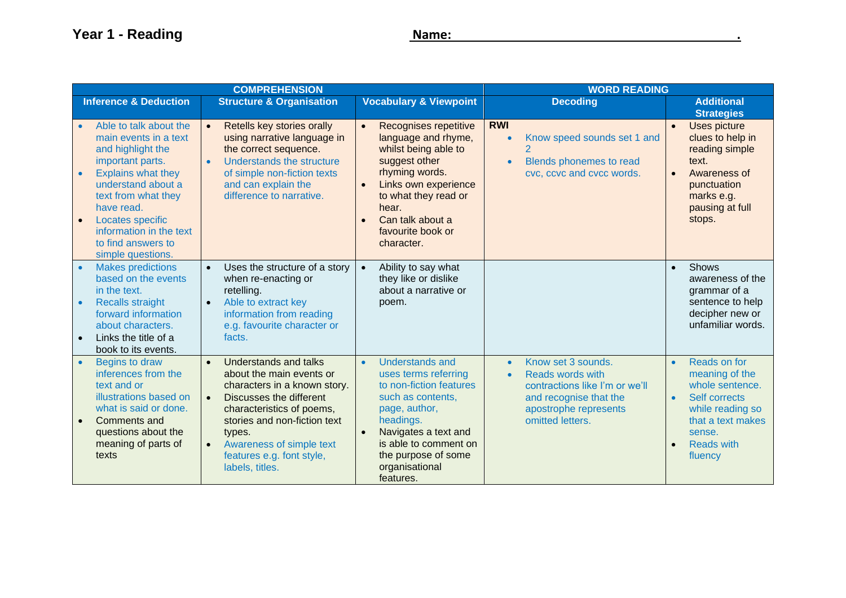|                                                                                                                                                                                                                                                                                                                   | <b>COMPREHENSION</b>                                                                                                                                                                                                                                                                                          | <b>WORD READING</b>                                                                                                                                                                                                                                            |                                                                                                                                                                           |                                                                                                                                                                                 |
|-------------------------------------------------------------------------------------------------------------------------------------------------------------------------------------------------------------------------------------------------------------------------------------------------------------------|---------------------------------------------------------------------------------------------------------------------------------------------------------------------------------------------------------------------------------------------------------------------------------------------------------------|----------------------------------------------------------------------------------------------------------------------------------------------------------------------------------------------------------------------------------------------------------------|---------------------------------------------------------------------------------------------------------------------------------------------------------------------------|---------------------------------------------------------------------------------------------------------------------------------------------------------------------------------|
| <b>Inference &amp; Deduction</b>                                                                                                                                                                                                                                                                                  | <b>Structure &amp; Organisation</b>                                                                                                                                                                                                                                                                           | <b>Vocabulary &amp; Viewpoint</b>                                                                                                                                                                                                                              | <b>Decoding</b>                                                                                                                                                           | <b>Additional</b><br><b>Strategies</b>                                                                                                                                          |
| Able to talk about the<br>$\bullet$<br>main events in a text<br>and highlight the<br>important parts.<br><b>Explains what they</b><br>$\bullet$<br>understand about a<br>text from what they<br>have read.<br>Locates specific<br>$\bullet$<br>information in the text<br>to find answers to<br>simple questions. | Retells key stories orally<br>$\bullet$<br>using narrative language in<br>the correct sequence.<br>Understands the structure<br>$\bullet$<br>of simple non-fiction texts<br>and can explain the<br>difference to narrative.                                                                                   | Recognises repetitive<br>$\bullet$<br>language and rhyme,<br>whilst being able to<br>suggest other<br>rhyming words.<br>Links own experience<br>$\bullet$<br>to what they read or<br>hear.<br>Can talk about a<br>$\bullet$<br>favourite book or<br>character. | <b>RWI</b><br>Know speed sounds set 1 and<br>$\bullet$<br>Blends phonemes to read<br>$\bullet$<br>cvc, ccvc and cvcc words.                                               | <b>Uses picture</b><br>$\bullet$<br>clues to help in<br>reading simple<br>text.<br>Awareness of<br>$\bullet$<br>punctuation<br>marks e.g.<br>pausing at full<br>stops.          |
| <b>Makes predictions</b><br>$\bullet$<br>based on the events<br>in the text.<br><b>Recalls straight</b><br>$\bullet$<br>forward information<br>about characters.<br>Links the title of a<br>$\bullet$<br>book to its events.                                                                                      | Uses the structure of a story<br>$\bullet$<br>when re-enacting or<br>retelling.<br>Able to extract key<br>$\bullet$<br>information from reading<br>e.g. favourite character or<br>facts.                                                                                                                      | Ability to say what<br>$\bullet$<br>they like or dislike<br>about a narrative or<br>poem.                                                                                                                                                                      |                                                                                                                                                                           | Shows<br>$\bullet$<br>awareness of the<br>grammar of a<br>sentence to help<br>decipher new or<br>unfamiliar words.                                                              |
| Begins to draw<br>$\bullet$<br>inferences from the<br>text and or<br>illustrations based on<br>what is said or done.<br><b>Comments and</b><br>$\bullet$<br>questions about the<br>meaning of parts of<br>texts                                                                                                   | <b>Understands and talks</b><br>$\bullet$<br>about the main events or<br>characters in a known story.<br>Discusses the different<br>$\bullet$<br>characteristics of poems,<br>stories and non-fiction text<br>types.<br>Awareness of simple text<br>$\bullet$<br>features e.g. font style,<br>labels, titles. | <b>Understands and</b><br>$\bullet$<br>uses terms referring<br>to non-fiction features<br>such as contents,<br>page, author,<br>headings.<br>Navigates a text and<br>is able to comment on<br>the purpose of some<br>organisational<br>features.               | Know set 3 sounds.<br>$\bullet$<br>Reads words with<br>$\bullet$<br>contractions like I'm or we'll<br>and recognise that the<br>apostrophe represents<br>omitted letters. | Reads on for<br>$\bullet$<br>meaning of the<br>whole sentence.<br>Self corrects<br>$\bullet$<br>while reading so<br>that a text makes<br>sense.<br><b>Reads with</b><br>fluency |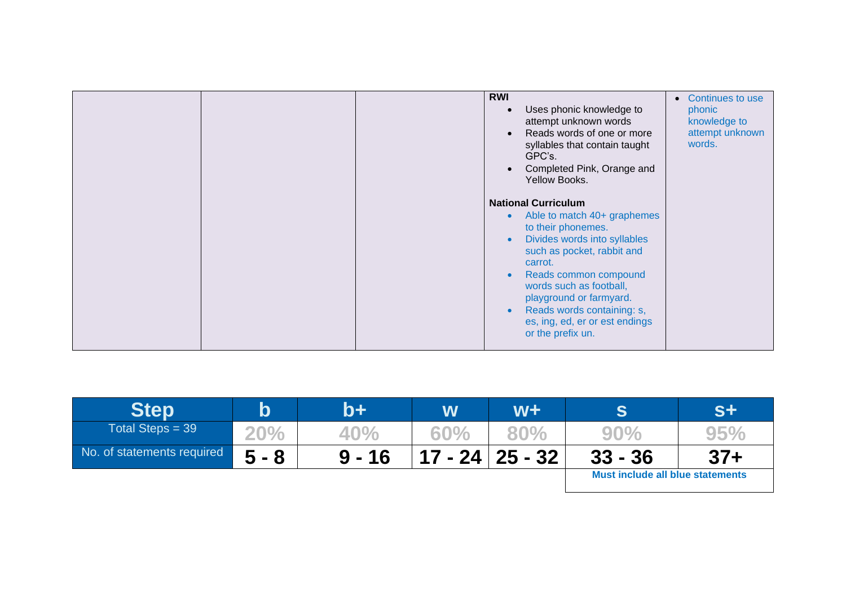|  | <b>RWI</b><br>Uses phonic knowledge to<br>$\bullet$<br>attempt unknown words<br>Reads words of one or more<br>$\bullet$<br>syllables that contain taught<br>GPC's.<br>Completed Pink, Orange and<br>Yellow Books.<br><b>National Curriculum</b><br>Able to match 40+ graphemes<br>$\bullet$<br>to their phonemes.<br>Divides words into syllables<br>$\bullet$<br>such as pocket, rabbit and<br>carrot.<br>Reads common compound<br>$\bullet$<br>words such as football,<br>playground or farmyard.<br>Reads words containing: s,<br>$\bullet$<br>es, ing, ed, er or est endings<br>or the prefix un. | • Continues to use<br>phonic<br>knowledge to<br>attempt unknown<br>words. |
|--|-------------------------------------------------------------------------------------------------------------------------------------------------------------------------------------------------------------------------------------------------------------------------------------------------------------------------------------------------------------------------------------------------------------------------------------------------------------------------------------------------------------------------------------------------------------------------------------------------------|---------------------------------------------------------------------------|
|--|-------------------------------------------------------------------------------------------------------------------------------------------------------------------------------------------------------------------------------------------------------------------------------------------------------------------------------------------------------------------------------------------------------------------------------------------------------------------------------------------------------------------------------------------------------------------------------------------------------|---------------------------------------------------------------------------|

| <b>Step</b>                | $\boldsymbol{\mathsf{b}}$ | $\mathsf{b}\mathsf{+}$ | W   | W+                          |                                         | S+     |
|----------------------------|---------------------------|------------------------|-----|-----------------------------|-----------------------------------------|--------|
| Total Steps = $39$         | <b>20%</b>                | 40%                    | 60% | 80%                         | $90\%$                                  | 95%    |
| No. of statements required | $5 - 8$                   | $9 - 16$               |     | $17 - 24 \mid 25 - 32 \mid$ | $33 - 36$                               | $37 +$ |
|                            |                           |                        |     |                             | <b>Must include all blue statements</b> |        |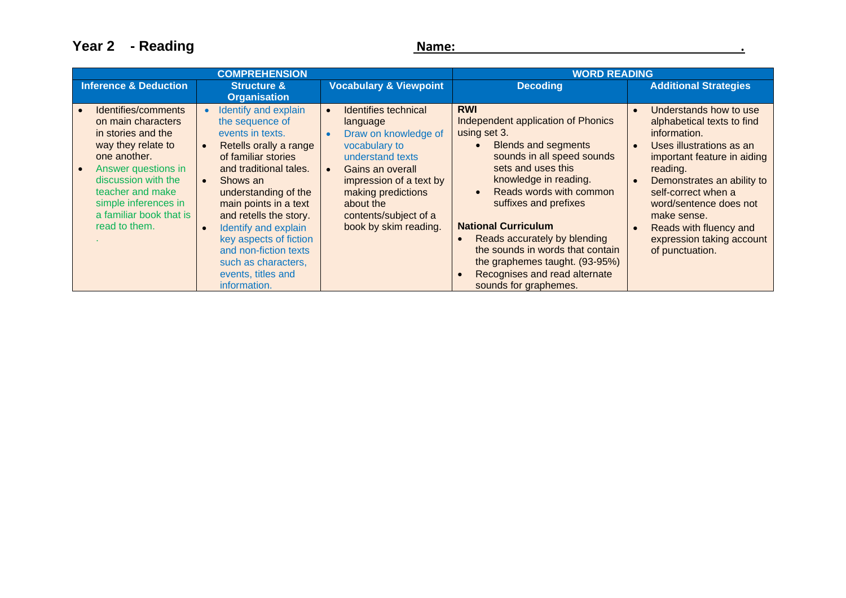**Year 2 - Reading Name: Name: Name: Name: Name: Name: Name: Name: Name: Name: Name: Name: Name: Name: Name: Name: Name: Name: Name: Name: Name: Name: Name: Name: Name: N** 

|                                                                                                                                                                                                                                             | <b>COMPREHENSION</b>                                                                                                                                                                                                                                                                                                                                                                                         | <b>WORD READING</b>                                                                                                                                                                                                                                                      |                                                                                                                                                                                                                                                                                                                                                                                                                                                         |                                                                                                                                                                                                                                                                                                                                  |
|---------------------------------------------------------------------------------------------------------------------------------------------------------------------------------------------------------------------------------------------|--------------------------------------------------------------------------------------------------------------------------------------------------------------------------------------------------------------------------------------------------------------------------------------------------------------------------------------------------------------------------------------------------------------|--------------------------------------------------------------------------------------------------------------------------------------------------------------------------------------------------------------------------------------------------------------------------|---------------------------------------------------------------------------------------------------------------------------------------------------------------------------------------------------------------------------------------------------------------------------------------------------------------------------------------------------------------------------------------------------------------------------------------------------------|----------------------------------------------------------------------------------------------------------------------------------------------------------------------------------------------------------------------------------------------------------------------------------------------------------------------------------|
| <b>Inference &amp; Deduction</b>                                                                                                                                                                                                            | <b>Structure &amp;</b><br><b>Organisation</b>                                                                                                                                                                                                                                                                                                                                                                | <b>Vocabulary &amp; Viewpoint</b>                                                                                                                                                                                                                                        | <b>Decoding</b>                                                                                                                                                                                                                                                                                                                                                                                                                                         | <b>Additional Strategies</b>                                                                                                                                                                                                                                                                                                     |
| Identifies/comments<br>on main characters<br>in stories and the<br>way they relate to<br>one another.<br>Answer questions in<br>discussion with the<br>teacher and make<br>simple inferences in<br>a familiar book that is<br>read to them. | Identify and explain<br>$\bullet$<br>the sequence of<br>events in texts.<br>Retells orally a range<br>$\bullet$<br>of familiar stories<br>and traditional tales.<br>Shows an<br>$\bullet$<br>understanding of the<br>main points in a text<br>and retells the story.<br>Identify and explain<br>key aspects of fiction<br>and non-fiction texts<br>such as characters,<br>events, titles and<br>information. | Identifies technical<br>$\bullet$<br>language<br>Draw on knowledge of<br>$\bullet$<br>vocabulary to<br>understand texts<br>Gains an overall<br>$\bullet$<br>impression of a text by<br>making predictions<br>about the<br>contents/subject of a<br>book by skim reading. | <b>RWI</b><br>Independent application of Phonics<br>using set 3.<br><b>Blends and segments</b><br>$\bullet$<br>sounds in all speed sounds<br>sets and uses this<br>knowledge in reading.<br>Reads words with common<br>$\bullet$<br>suffixes and prefixes<br><b>National Curriculum</b><br>Reads accurately by blending<br>the sounds in words that contain<br>the graphemes taught. (93-95%)<br>Recognises and read alternate<br>sounds for graphemes. | Understands how to use<br>alphabetical texts to find<br>information.<br>Uses illustrations as an<br>$\bullet$<br>important feature in aiding<br>reading.<br>Demonstrates an ability to<br>self-correct when a<br>word/sentence does not<br>make sense.<br>Reads with fluency and<br>expression taking account<br>of punctuation. |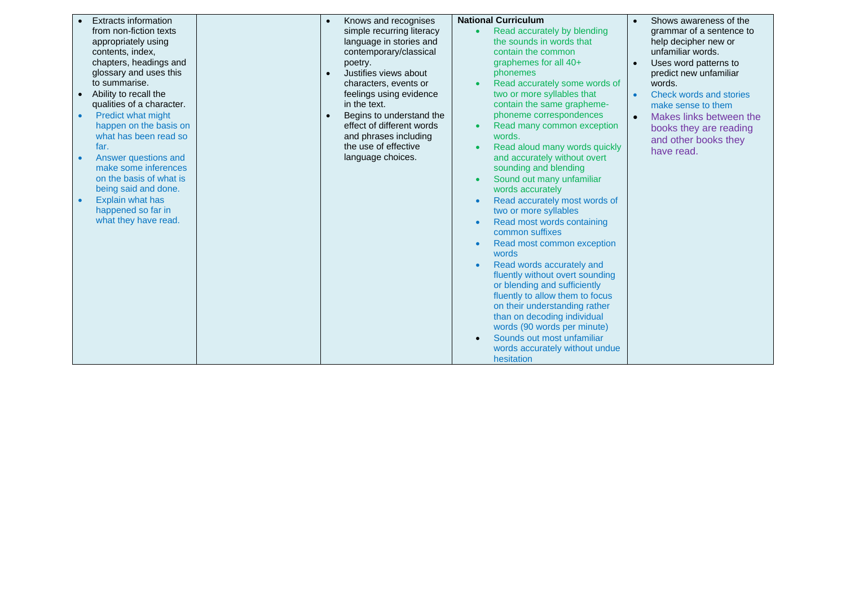|           | <b>Extracts information</b>                     | $\bullet$ | Knows and recognises      | <b>National Curriculum</b>      |           | Shows awareness of the   |
|-----------|-------------------------------------------------|-----------|---------------------------|---------------------------------|-----------|--------------------------|
|           | from non-fiction texts                          |           | simple recurring literacy | Read accurately by blending     |           | grammar of a sentence to |
|           | appropriately using                             |           | language in stories and   | the sounds in words that        |           | help decipher new or     |
|           | contents, index,                                |           | contemporary/classical    | contain the common              |           | unfamiliar words.        |
|           | chapters, headings and                          |           | poetry.                   | graphemes for all 40+           |           | Uses word patterns to    |
|           | glossary and uses this                          |           | Justifies views about     | phonemes                        |           | predict new unfamiliar   |
|           | to summarise.                                   |           | characters, events or     | Read accurately some words of   |           | words.                   |
|           | Ability to recall the                           |           | feelings using evidence   | two or more syllables that      | $\bullet$ | Check words and stories  |
|           | qualities of a character.                       |           | in the text.              | contain the same grapheme-      |           | make sense to them       |
|           |                                                 |           |                           | phoneme correspondences         |           |                          |
| $\bullet$ | Predict what might                              |           | Begins to understand the  |                                 | $\bullet$ | Makes links between the  |
|           | happen on the basis on<br>what has been read so |           | effect of different words | Read many common exception      |           | books they are reading   |
|           |                                                 |           | and phrases including     | words.                          |           | and other books they     |
|           | far.                                            |           | the use of effective      | Read aloud many words quickly   |           | have read.               |
|           | Answer questions and                            |           | language choices.         | and accurately without overt    |           |                          |
|           | make some inferences                            |           |                           | sounding and blending           |           |                          |
|           | on the basis of what is                         |           |                           | Sound out many unfamiliar       |           |                          |
|           | being said and done.                            |           |                           | words accurately                |           |                          |
|           | Explain what has                                |           |                           | Read accurately most words of   |           |                          |
|           | happened so far in                              |           |                           | two or more syllables           |           |                          |
|           | what they have read.                            |           |                           | Read most words containing      |           |                          |
|           |                                                 |           |                           | common suffixes                 |           |                          |
|           |                                                 |           |                           | Read most common exception      |           |                          |
|           |                                                 |           |                           | words                           |           |                          |
|           |                                                 |           |                           | Read words accurately and       |           |                          |
|           |                                                 |           |                           | fluently without overt sounding |           |                          |
|           |                                                 |           |                           | or blending and sufficiently    |           |                          |
|           |                                                 |           |                           | fluently to allow them to focus |           |                          |
|           |                                                 |           |                           | on their understanding rather   |           |                          |
|           |                                                 |           |                           | than on decoding individual     |           |                          |
|           |                                                 |           |                           | words (90 words per minute)     |           |                          |
|           |                                                 |           |                           | Sounds out most unfamiliar      |           |                          |
|           |                                                 |           |                           | words accurately without undue  |           |                          |
|           |                                                 |           |                           | hesitation                      |           |                          |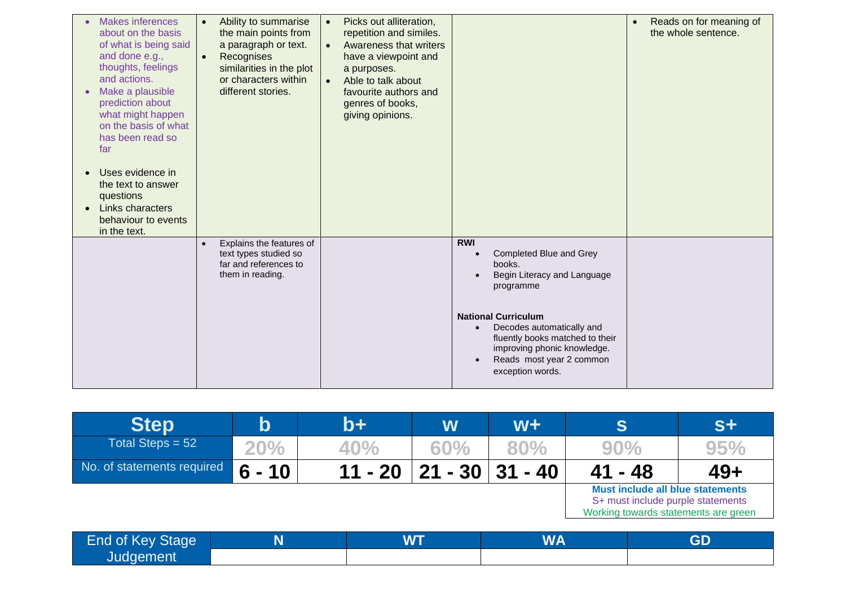| <b>Makes inferences</b><br>about on the basis<br>of what is being said<br>and done e.g.,<br>thoughts, feelings<br>and actions.<br>Make a plausible<br>prediction about<br>what might happen<br>on the basis of what<br>has been read so<br>far<br>Uses evidence in<br>the text to answer<br>questions<br>Links characters<br>behaviour to events<br>in the text. | Ability to summarise<br>$\bullet$<br>the main points from<br>a paragraph or text.<br>Recognises<br>$\bullet$<br>similarities in the plot<br>or characters within<br>different stories. | Picks out alliteration,<br>$\bullet$<br>repetition and similes.<br>Awareness that writers<br>$\bullet$<br>have a viewpoint and<br>a purposes.<br>Able to talk about<br>favourite authors and<br>genres of books,<br>giving opinions. |                                                                                                                                                                                                                                                                          | Reads on for meaning of<br>the whole sentence. |
|------------------------------------------------------------------------------------------------------------------------------------------------------------------------------------------------------------------------------------------------------------------------------------------------------------------------------------------------------------------|----------------------------------------------------------------------------------------------------------------------------------------------------------------------------------------|--------------------------------------------------------------------------------------------------------------------------------------------------------------------------------------------------------------------------------------|--------------------------------------------------------------------------------------------------------------------------------------------------------------------------------------------------------------------------------------------------------------------------|------------------------------------------------|
|                                                                                                                                                                                                                                                                                                                                                                  | Explains the features of<br>$\bullet$<br>text types studied so<br>far and references to<br>them in reading.                                                                            |                                                                                                                                                                                                                                      | <b>RWI</b><br>Completed Blue and Grey<br>books.<br>Begin Literacy and Language<br>programme<br><b>National Curriculum</b><br>Decodes automatically and<br>fluently books matched to their<br>improving phonic knowledge.<br>Reads most year 2 common<br>exception words. |                                                |

| <b>Step</b>                    | $\mathsf b$ | b+        | W           | $W +$               | S                                                                                                             | $S+$         |
|--------------------------------|-------------|-----------|-------------|---------------------|---------------------------------------------------------------------------------------------------------------|--------------|
| Total Steps = $52$             | 20%         | 40%       | 60%         | 80%                 | 90%                                                                                                           | 95%          |
| No. of statements required     | $6 - 10$    | $11 - 20$ |             | $21 - 30$   31 - 40 | $41 - 48$                                                                                                     | $49+$        |
|                                |             |           |             |                     | Must include all blue statements<br>S+ must include purple statements<br>Working towards statements are green |              |
| $End$ of $K_{011}$ $Q_{total}$ | M           |           | <b>IAIT</b> | <b>IALA</b>         |                                                                                                               | $\mathbf{C}$ |

| End of Key Stage | <b>WT</b> | <b>WA</b> | GD |
|------------------|-----------|-----------|----|
| Judgement        |           |           |    |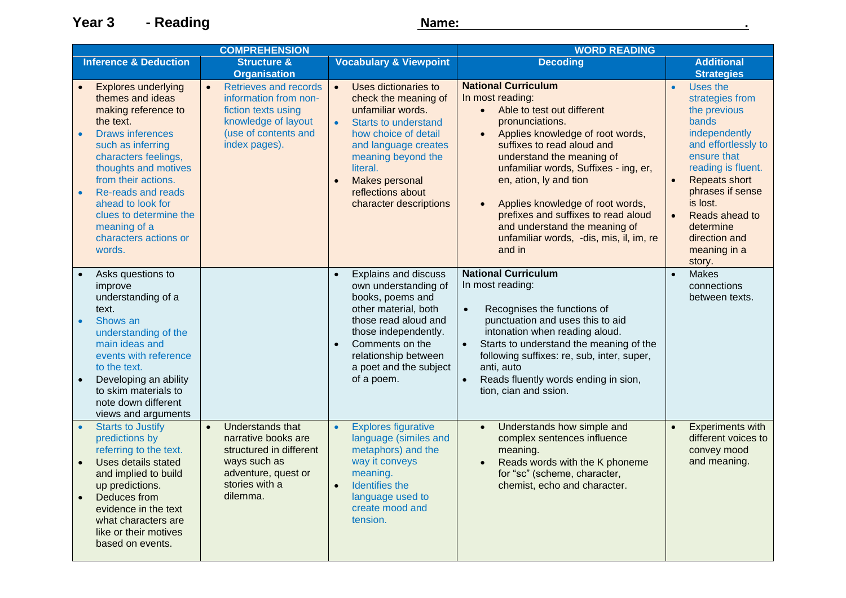**Year 3 - Reading Name: Name: Name: Name: Name: Name: Name: Name: Name: Name: Name: Name: Name: Name: Name: Name: Name: Name: Name: Name: Name: Name: Name: Name: Name: N** 

| <b>COMPREHENSION</b>   |                                                                                                                                                                                                                                                                                                                                   |                                                                                                                                                      | <b>WORD READING</b>                                                                                                                                                                                                                                                           |                                                                                                                                                                                                                                                                                                                                                                                                                                                              |                                                                                                                                                                                                                                                                                                            |
|------------------------|-----------------------------------------------------------------------------------------------------------------------------------------------------------------------------------------------------------------------------------------------------------------------------------------------------------------------------------|------------------------------------------------------------------------------------------------------------------------------------------------------|-------------------------------------------------------------------------------------------------------------------------------------------------------------------------------------------------------------------------------------------------------------------------------|--------------------------------------------------------------------------------------------------------------------------------------------------------------------------------------------------------------------------------------------------------------------------------------------------------------------------------------------------------------------------------------------------------------------------------------------------------------|------------------------------------------------------------------------------------------------------------------------------------------------------------------------------------------------------------------------------------------------------------------------------------------------------------|
|                        | <b>Inference &amp; Deduction</b>                                                                                                                                                                                                                                                                                                  | <b>Structure &amp;</b>                                                                                                                               | <b>Vocabulary &amp; Viewpoint</b>                                                                                                                                                                                                                                             | <b>Decoding</b>                                                                                                                                                                                                                                                                                                                                                                                                                                              | <b>Additional</b>                                                                                                                                                                                                                                                                                          |
|                        |                                                                                                                                                                                                                                                                                                                                   | <b>Organisation</b>                                                                                                                                  |                                                                                                                                                                                                                                                                               |                                                                                                                                                                                                                                                                                                                                                                                                                                                              | <b>Strategies</b>                                                                                                                                                                                                                                                                                          |
| $\bullet$<br>$\bullet$ | <b>Explores underlying</b><br>themes and ideas<br>making reference to<br>the text.<br><b>Draws inferences</b><br>such as inferring<br>characters feelings,<br>thoughts and motives<br>from their actions.<br>Re-reads and reads<br>ahead to look for<br>clues to determine the<br>meaning of a<br>characters actions or<br>words. | $\bullet$<br>Retrieves and records<br>information from non-<br>fiction texts using<br>knowledge of layout<br>(use of contents and<br>index pages).   | Uses dictionaries to<br>$\bullet$<br>check the meaning of<br>unfamiliar words.<br><b>Starts to understand</b><br>$\bullet$<br>how choice of detail<br>and language creates<br>meaning beyond the<br>literal.<br>Makes personal<br>reflections about<br>character descriptions | <b>National Curriculum</b><br>In most reading:<br>Able to test out different<br>$\bullet$<br>pronunciations.<br>Applies knowledge of root words,<br>$\bullet$<br>suffixes to read aloud and<br>understand the meaning of<br>unfamiliar words, Suffixes - ing, er,<br>en, ation, ly and tion<br>Applies knowledge of root words,<br>prefixes and suffixes to read aloud<br>and understand the meaning of<br>unfamiliar words, -dis, mis, il, im, re<br>and in | Uses the<br>$\bullet$<br>strategies from<br>the previous<br>bands<br>independently<br>and effortlessly to<br>ensure that<br>reading is fluent.<br><b>Repeats short</b><br>$\bullet$<br>phrases if sense<br>is lost.<br>Reads ahead to<br>$\bullet$<br>determine<br>direction and<br>meaning in a<br>story. |
| $\bullet$<br>$\bullet$ | Asks questions to<br>improve<br>understanding of a<br>text.<br>Shows an<br>understanding of the<br>main ideas and<br>events with reference<br>to the text.<br>Developing an ability<br>to skim materials to<br>note down different<br>views and arguments                                                                         |                                                                                                                                                      | <b>Explains and discuss</b><br>$\bullet$<br>own understanding of<br>books, poems and<br>other material, both<br>those read aloud and<br>those independently.<br>Comments on the<br>relationship between<br>a poet and the subject<br>of a poem.                               | <b>National Curriculum</b><br>In most reading:<br>Recognises the functions of<br>$\bullet$<br>punctuation and uses this to aid<br>intonation when reading aloud.<br>Starts to understand the meaning of the<br>following suffixes: re, sub, inter, super,<br>anti, auto<br>Reads fluently words ending in sion,<br>$\bullet$<br>tion, cian and ssion.                                                                                                        | <b>Makes</b><br>$\bullet$<br>connections<br>between texts.                                                                                                                                                                                                                                                 |
| $\bullet$<br>$\bullet$ | <b>Starts to Justify</b><br>predictions by<br>referring to the text.<br>Uses details stated<br>and implied to build<br>up predictions.<br>Deduces from<br>evidence in the text<br>what characters are<br>like or their motives<br>based on events.                                                                                | Understands that<br>$\bullet$<br>narrative books are<br>structured in different<br>ways such as<br>adventure, quest or<br>stories with a<br>dilemma. | <b>Explores figurative</b><br>$\bullet$<br>language (similes and<br>metaphors) and the<br>way it conveys<br>meaning.<br>Identifies the<br>$\bullet$<br>language used to<br>create mood and<br>tension.                                                                        | Understands how simple and<br>complex sentences influence<br>meaning.<br>Reads words with the K phoneme<br>$\bullet$<br>for "sc" (scheme, character,<br>chemist, echo and character.                                                                                                                                                                                                                                                                         | Experiments with<br>$\bullet$<br>different voices to<br>convey mood<br>and meaning.                                                                                                                                                                                                                        |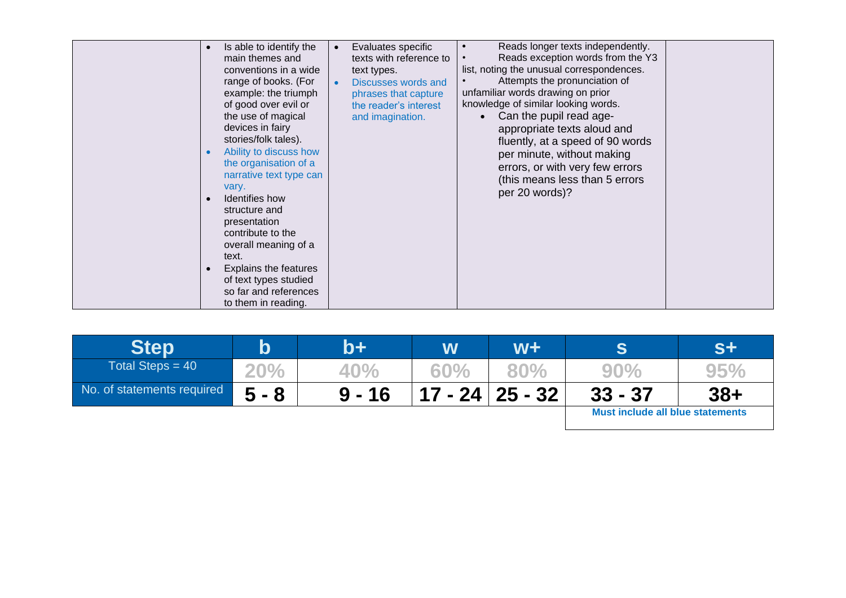| Is able to identify the<br>$\bullet$<br>main themes and<br>conventions in a wide<br>range of books. (For<br>example: the triumph<br>of good over evil or<br>the use of magical<br>devices in fairy<br>stories/folk tales).<br>Ability to discuss how<br>$\bullet$<br>the organisation of a<br>narrative text type can<br>vary.<br>Identifies how<br>structure and<br>presentation<br>contribute to the<br>overall meaning of a<br>text.<br><b>Explains the features</b><br>$\bullet$<br>of text types studied<br>so far and references<br>to them in reading. | Evaluates specific<br>texts with reference to<br>text types.<br><b>Discusses words and</b><br>$\bullet$<br>phrases that capture<br>the reader's interest<br>and imagination. | Reads longer texts independently.<br>Reads exception words from the Y3<br>list, noting the unusual correspondences.<br>Attempts the pronunciation of<br>unfamiliar words drawing on prior<br>knowledge of similar looking words.<br>Can the pupil read age-<br>appropriate texts aloud and<br>fluently, at a speed of 90 words<br>per minute, without making<br>errors, or with very few errors<br>(this means less than 5 errors<br>per 20 words)? |  |
|---------------------------------------------------------------------------------------------------------------------------------------------------------------------------------------------------------------------------------------------------------------------------------------------------------------------------------------------------------------------------------------------------------------------------------------------------------------------------------------------------------------------------------------------------------------|------------------------------------------------------------------------------------------------------------------------------------------------------------------------------|-----------------------------------------------------------------------------------------------------------------------------------------------------------------------------------------------------------------------------------------------------------------------------------------------------------------------------------------------------------------------------------------------------------------------------------------------------|--|
|---------------------------------------------------------------------------------------------------------------------------------------------------------------------------------------------------------------------------------------------------------------------------------------------------------------------------------------------------------------------------------------------------------------------------------------------------------------------------------------------------------------------------------------------------------------|------------------------------------------------------------------------------------------------------------------------------------------------------------------------------|-----------------------------------------------------------------------------------------------------------------------------------------------------------------------------------------------------------------------------------------------------------------------------------------------------------------------------------------------------------------------------------------------------------------------------------------------------|--|

| <b>Step</b>                | b          | b+       | W   | $W +$                                   |           | S+    |
|----------------------------|------------|----------|-----|-----------------------------------------|-----------|-------|
| Total Steps = $40$         | <b>20%</b> | 40%      | 60% | $80\%$                                  | 90%       | 95%   |
| No. of statements required | $5 - 8$    | $9 - 16$ |     | $17 - 24 \mid 25 - 32$                  | $33 - 37$ | $38+$ |
|                            |            |          |     | <b>Must include all blue statements</b> |           |       |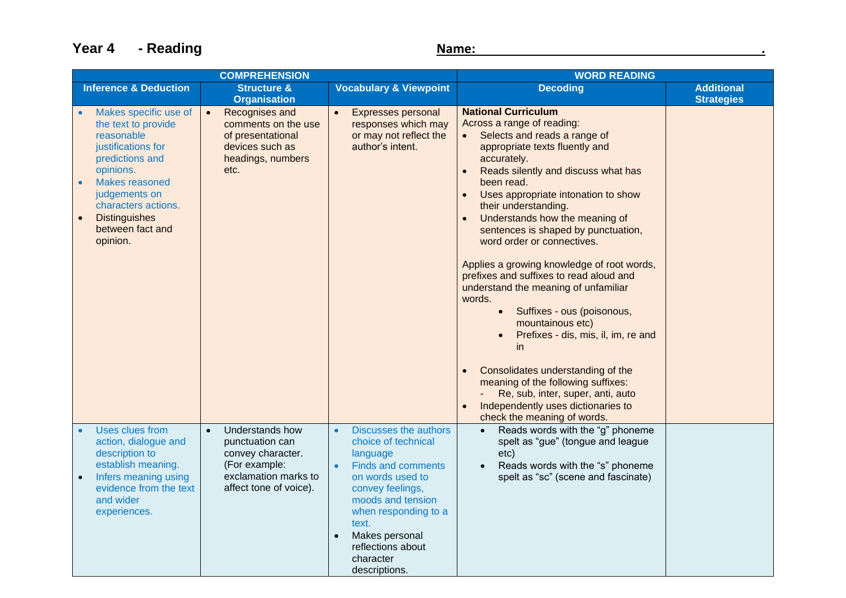**Year 4 - Reading Name: Name: Name: Name: Name: Name: Name: Name: Name: Name: Name: Name: Name: Name: Name: Name: Name: Name: Name: Name: Name: Name: Name: Name: Name: N** 

| <b>COMPREHENSION</b>                                                                                                                                                                                                                                                |                                                                                                                                         |                                                                                                                                                                                                                                                                              | <b>WORD READING</b>                                                                                                                                                                                                                                                                                                                                                                                                                                                                                                                                                                                                                                                                                                                                                                                                                  |                                        |
|---------------------------------------------------------------------------------------------------------------------------------------------------------------------------------------------------------------------------------------------------------------------|-----------------------------------------------------------------------------------------------------------------------------------------|------------------------------------------------------------------------------------------------------------------------------------------------------------------------------------------------------------------------------------------------------------------------------|--------------------------------------------------------------------------------------------------------------------------------------------------------------------------------------------------------------------------------------------------------------------------------------------------------------------------------------------------------------------------------------------------------------------------------------------------------------------------------------------------------------------------------------------------------------------------------------------------------------------------------------------------------------------------------------------------------------------------------------------------------------------------------------------------------------------------------------|----------------------------------------|
| <b>Inference &amp; Deduction</b>                                                                                                                                                                                                                                    | <b>Structure &amp;</b><br><b>Organisation</b>                                                                                           | <b>Vocabulary &amp; Viewpoint</b>                                                                                                                                                                                                                                            | <b>Decoding</b>                                                                                                                                                                                                                                                                                                                                                                                                                                                                                                                                                                                                                                                                                                                                                                                                                      | <b>Additional</b><br><b>Strategies</b> |
| Makes specific use of<br>the text to provide<br>reasonable<br>justifications for<br>predictions and<br>opinions.<br><b>Makes reasoned</b><br>$\bullet$<br>judgements on<br>characters actions.<br><b>Distinguishes</b><br>$\bullet$<br>between fact and<br>opinion. | Recognises and<br>$\bullet$<br>comments on the use<br>of presentational<br>devices such as<br>headings, numbers<br>etc.                 | <b>Expresses personal</b><br>$\bullet$<br>responses which may<br>or may not reflect the<br>author's intent.                                                                                                                                                                  | <b>National Curriculum</b><br>Across a range of reading:<br>Selects and reads a range of<br>$\bullet$<br>appropriate texts fluently and<br>accurately.<br>Reads silently and discuss what has<br>been read.<br>Uses appropriate intonation to show<br>their understanding.<br>Understands how the meaning of<br>sentences is shaped by punctuation,<br>word order or connectives.<br>Applies a growing knowledge of root words,<br>prefixes and suffixes to read aloud and<br>understand the meaning of unfamiliar<br>words.<br>Suffixes - ous (poisonous,<br>$\bullet$<br>mountainous etc)<br>Prefixes - dis, mis, il, im, re and<br><i>in</i><br>Consolidates understanding of the<br>meaning of the following suffixes:<br>Re, sub, inter, super, anti, auto<br>Independently uses dictionaries to<br>check the meaning of words. |                                        |
| Uses clues from<br>action, dialogue and<br>description to<br>establish meaning.<br>Infers meaning using<br>$\bullet$<br>evidence from the text<br>and wider<br>experiences.                                                                                         | Understands how<br>$\bullet$<br>punctuation can<br>convey character.<br>(For example:<br>exclamation marks to<br>affect tone of voice). | <b>Discusses the authors</b><br>$\bullet$<br>choice of technical<br>language<br><b>Finds and comments</b><br>on words used to<br>convey feelings,<br>moods and tension<br>when responding to a<br>text.<br>Makes personal<br>reflections about<br>character<br>descriptions. | Reads words with the "g" phoneme<br>$\bullet$<br>spelt as "gue" (tongue and league<br>etc)<br>Reads words with the "s" phoneme<br>$\bullet$<br>spelt as "sc" (scene and fascinate)                                                                                                                                                                                                                                                                                                                                                                                                                                                                                                                                                                                                                                                   |                                        |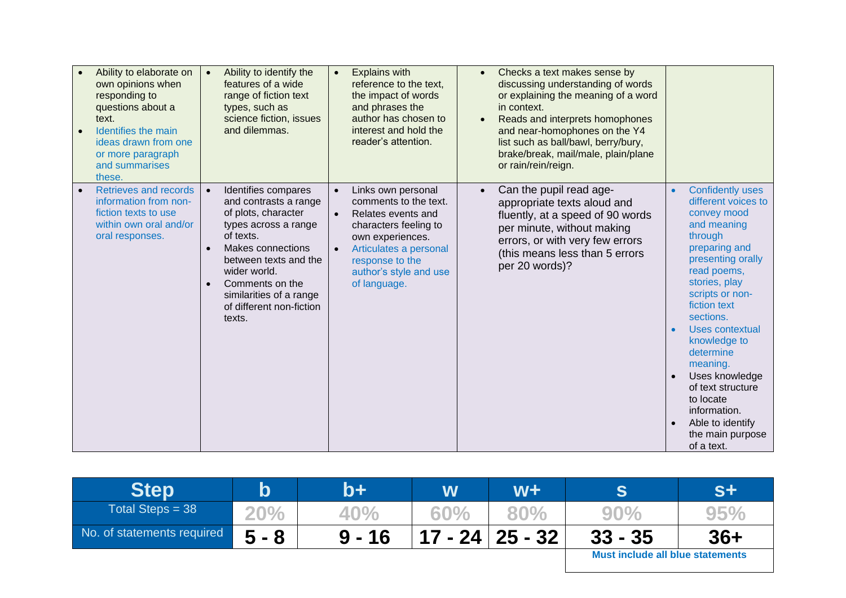| Ability to elaborate on<br>own opinions when<br>responding to<br>questions about a<br>text.<br>Identifies the main<br>ideas drawn from one<br>or more paragraph<br>and summarises<br>these. | Ability to identify the<br>$\bullet$<br>features of a wide<br>range of fiction text<br>types, such as<br>science fiction, issues<br>and dilemmas.                                                                                                                                                 | <b>Explains with</b><br>$\bullet$<br>reference to the text,<br>the impact of words<br>and phrases the<br>author has chosen to<br>interest and hold the<br>reader's attention.                                                                | Checks a text makes sense by<br>$\bullet$<br>discussing understanding of words<br>or explaining the meaning of a word<br>in context.<br>Reads and interprets homophones<br>and near-homophones on the Y4<br>list such as ball/bawl, berry/bury,<br>brake/break, mail/male, plain/plane<br>or rain/rein/reign. |                                                                                                                                                                                                                                                                                                                                                                                                                  |
|---------------------------------------------------------------------------------------------------------------------------------------------------------------------------------------------|---------------------------------------------------------------------------------------------------------------------------------------------------------------------------------------------------------------------------------------------------------------------------------------------------|----------------------------------------------------------------------------------------------------------------------------------------------------------------------------------------------------------------------------------------------|---------------------------------------------------------------------------------------------------------------------------------------------------------------------------------------------------------------------------------------------------------------------------------------------------------------|------------------------------------------------------------------------------------------------------------------------------------------------------------------------------------------------------------------------------------------------------------------------------------------------------------------------------------------------------------------------------------------------------------------|
| Retrieves and records<br>information from non-<br>fiction texts to use<br>within own oral and/or<br>oral responses.                                                                         | Identifies compares<br>$\bullet$<br>and contrasts a range<br>of plots, character<br>types across a range<br>of texts.<br>Makes connections<br>$\bullet$<br>between texts and the<br>wider world.<br>Comments on the<br>$\bullet$<br>similarities of a range<br>of different non-fiction<br>texts. | Links own personal<br>$\bullet$<br>comments to the text.<br>Relates events and<br>$\bullet$<br>characters feeling to<br>own experiences.<br>Articulates a personal<br>$\bullet$<br>response to the<br>author's style and use<br>of language. | Can the pupil read age-<br>appropriate texts aloud and<br>fluently, at a speed of 90 words<br>per minute, without making<br>errors, or with very few errors<br>(this means less than 5 errors<br>per 20 words)?                                                                                               | <b>Confidently uses</b><br>$\bullet$<br>different voices to<br>convey mood<br>and meaning<br>through<br>preparing and<br>presenting orally<br>read poems,<br>stories, play<br>scripts or non-<br>fiction text<br>sections.<br>Uses contextual<br>knowledge to<br>determine<br>meaning.<br>Uses knowledge<br>of text structure<br>to locate<br>information.<br>Able to identify<br>the main purpose<br>of a text. |

| <b>Step</b>                | b       | b+       | W                           | $W +$ |                                  | <b>S+</b> |
|----------------------------|---------|----------|-----------------------------|-------|----------------------------------|-----------|
| Total Steps = $38$         | 20%     | 40%      | 60%                         | 80%   | 90%                              | 95%       |
| No. of statements required | $5 - 8$ | $9 - 16$ | $17 - 24 \mid 25 - 32 \mid$ |       | $33 - 35$                        | $36+$     |
|                            |         |          |                             |       | Must include all blue statements |           |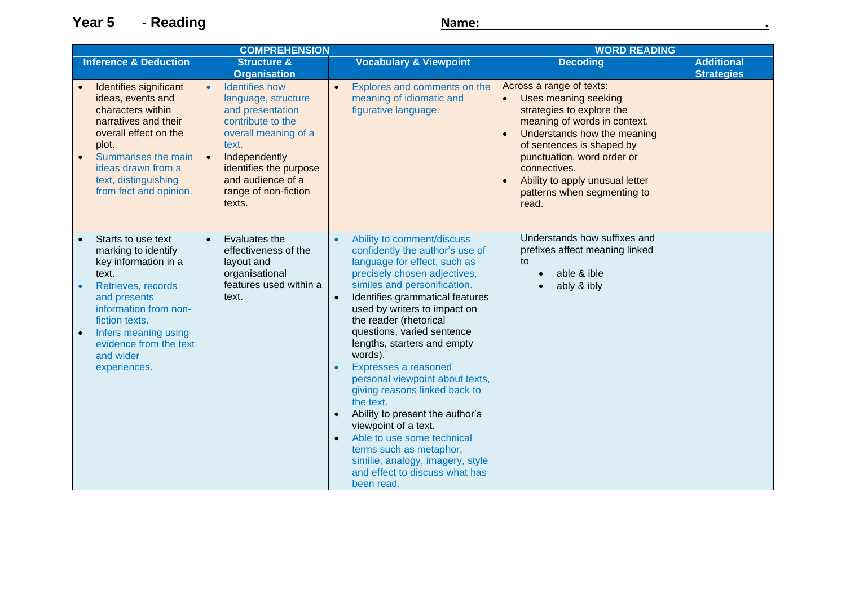**Year 5** - Reading *Name:* **2008 - 2008 12: 2009 12: 2008 12: 2009 12: 2009 12: 2009 12: 2009 12: 2009 12: 2009 12: 2009 12: 2009 12: 2009 12: 2009 12: 2009 12: 2009 12: 2009 12: 2009 12: 2009 12: 2009 12: 2009 12: 2009 12** 

| <b>COMPREHENSION</b>                                                                                                                                                                                                                       |                                                                                                                                                                                                                                       |                                                                                                                                                                                                                                                                                                                                                                                                                                                                                                                                                                                                                                                                                            | <b>WORD READING</b>                                                                                                                                                                                                                                                                                                          |                                        |  |
|--------------------------------------------------------------------------------------------------------------------------------------------------------------------------------------------------------------------------------------------|---------------------------------------------------------------------------------------------------------------------------------------------------------------------------------------------------------------------------------------|--------------------------------------------------------------------------------------------------------------------------------------------------------------------------------------------------------------------------------------------------------------------------------------------------------------------------------------------------------------------------------------------------------------------------------------------------------------------------------------------------------------------------------------------------------------------------------------------------------------------------------------------------------------------------------------------|------------------------------------------------------------------------------------------------------------------------------------------------------------------------------------------------------------------------------------------------------------------------------------------------------------------------------|----------------------------------------|--|
| <b>Inference &amp; Deduction</b>                                                                                                                                                                                                           | <b>Structure &amp;</b><br><b>Organisation</b>                                                                                                                                                                                         | <b>Vocabulary &amp; Viewpoint</b>                                                                                                                                                                                                                                                                                                                                                                                                                                                                                                                                                                                                                                                          | <b>Decoding</b>                                                                                                                                                                                                                                                                                                              | <b>Additional</b><br><b>Strategies</b> |  |
| Identifies significant<br>ideas, events and<br>characters within<br>narratives and their<br>overall effect on the<br>plot.<br>Summarises the main<br>$\bullet$<br>ideas drawn from a<br>text, distinguishing<br>from fact and opinion.     | <b>Identifies how</b><br>language, structure<br>and presentation<br>contribute to the<br>overall meaning of a<br>text.<br>Independently<br>$\bullet$<br>identifies the purpose<br>and audience of a<br>range of non-fiction<br>texts. | Explores and comments on the<br>$\bullet$<br>meaning of idiomatic and<br>figurative language.                                                                                                                                                                                                                                                                                                                                                                                                                                                                                                                                                                                              | Across a range of texts:<br>Uses meaning seeking<br>$\bullet$<br>strategies to explore the<br>meaning of words in context.<br>Understands how the meaning<br>$\bullet$<br>of sentences is shaped by<br>punctuation, word order or<br>connectives.<br>Ability to apply unusual letter<br>patterns when segmenting to<br>read. |                                        |  |
| Starts to use text<br>marking to identify<br>key information in a<br>text.<br>Retrieves, records<br>and presents<br>information from non-<br>fiction texts.<br>Infers meaning using<br>evidence from the text<br>and wider<br>experiences. | Evaluates the<br>$\bullet$<br>effectiveness of the<br>layout and<br>organisational<br>features used within a<br>text.                                                                                                                 | Ability to comment/discuss<br>$\bullet$<br>confidently the author's use of<br>language for effect, such as<br>precisely chosen adjectives,<br>similes and personification.<br>Identifies grammatical features<br>$\bullet$<br>used by writers to impact on<br>the reader (rhetorical<br>questions, varied sentence<br>lengths, starters and empty<br>words).<br>Expresses a reasoned<br>personal viewpoint about texts,<br>giving reasons linked back to<br>the text.<br>Ability to present the author's<br>viewpoint of a text.<br>Able to use some technical<br>$\bullet$<br>terms such as metaphor,<br>similie, analogy, imagery, style<br>and effect to discuss what has<br>been read. | Understands how suffixes and<br>prefixes affect meaning linked<br>to<br>able & ible<br>ably & ibly                                                                                                                                                                                                                           |                                        |  |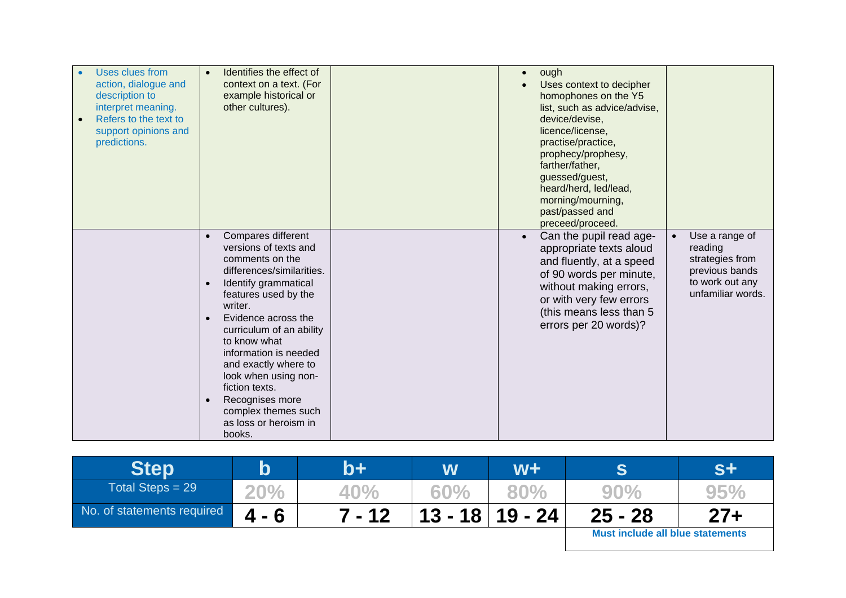| <b>Uses clues from</b><br>action, dialogue and<br>description to<br>interpret meaning.<br>Refers to the text to<br>support opinions and<br>predictions. | Identifies the effect of<br>$\bullet$<br>context on a text. (For<br>example historical or<br>other cultures).                                                                                                                                                                                                                                                                                                                                         | ough<br>$\bullet$<br>Uses context to decipher<br>homophones on the Y5<br>list, such as advice/advise,<br>device/devise,<br>licence/license,<br>practise/practice,<br>prophecy/prophesy,<br>farther/father,<br>guessed/guest,<br>heard/herd, led/lead,<br>morning/mourning,<br>past/passed and<br>preceed/proceed. |                                                                                                                     |
|---------------------------------------------------------------------------------------------------------------------------------------------------------|-------------------------------------------------------------------------------------------------------------------------------------------------------------------------------------------------------------------------------------------------------------------------------------------------------------------------------------------------------------------------------------------------------------------------------------------------------|-------------------------------------------------------------------------------------------------------------------------------------------------------------------------------------------------------------------------------------------------------------------------------------------------------------------|---------------------------------------------------------------------------------------------------------------------|
|                                                                                                                                                         | Compares different<br>$\bullet$<br>versions of texts and<br>comments on the<br>differences/similarities.<br>Identify grammatical<br>$\bullet$<br>features used by the<br>writer.<br>Evidence across the<br>$\bullet$<br>curriculum of an ability<br>to know what<br>information is needed<br>and exactly where to<br>look when using non-<br>fiction texts.<br>Recognises more<br>$\bullet$<br>complex themes such<br>as loss or heroism in<br>books. | Can the pupil read age-<br>appropriate texts aloud<br>and fluently, at a speed<br>of 90 words per minute,<br>without making errors,<br>or with very few errors<br>(this means less than 5<br>errors per 20 words)?                                                                                                | Use a range of<br>$\bullet$<br>reading<br>strategies from<br>previous bands<br>to work out any<br>unfamiliar words. |

| <b>Step</b>                | $\bold{b}$ | b+'      | W   | W+                  | S                                       | S+     |
|----------------------------|------------|----------|-----|---------------------|-----------------------------------------|--------|
| Total Steps = $29$         | 20%        | 40%      | 60% | 80%                 | 90%                                     | 959    |
| No. of statements required | $4 - 6$    | $7 - 12$ |     | $13 - 18$   19 - 24 | $25 - 28$                               | $27 +$ |
|                            |            |          |     |                     | <b>Must include all blue statements</b> |        |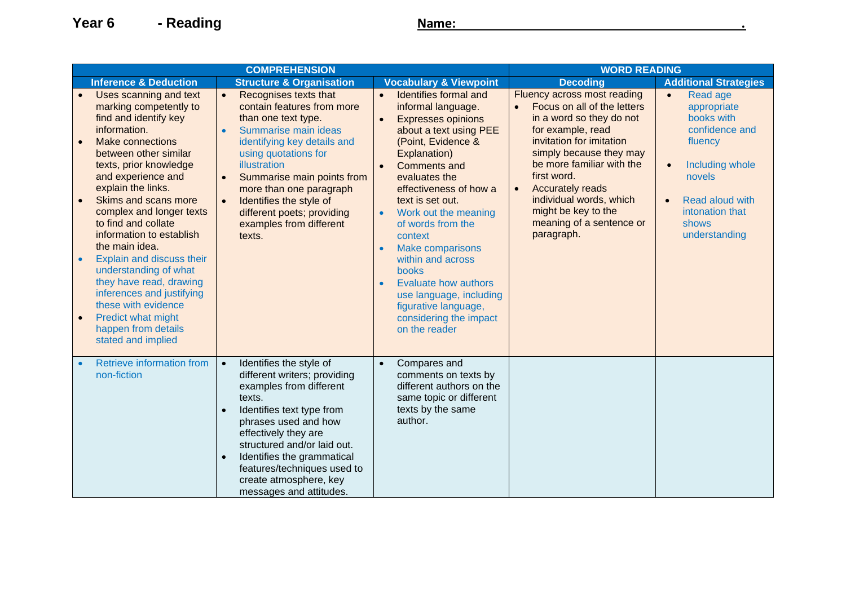|                                                  |                                                                                                                                                                                                                                                                                                                                                                                                                                                                                                                                                      | <b>COMPREHENSION</b>                                                                                                                                                                                                                                                                                                                                                                 | <b>WORD READING</b>                                                                                                                                                                                                                                                                                                                                                                                                                                                                                                              |                                                                                                                                                                                                                                                                                                                                                                 |                                                                                                                                                                                           |
|--------------------------------------------------|------------------------------------------------------------------------------------------------------------------------------------------------------------------------------------------------------------------------------------------------------------------------------------------------------------------------------------------------------------------------------------------------------------------------------------------------------------------------------------------------------------------------------------------------------|--------------------------------------------------------------------------------------------------------------------------------------------------------------------------------------------------------------------------------------------------------------------------------------------------------------------------------------------------------------------------------------|----------------------------------------------------------------------------------------------------------------------------------------------------------------------------------------------------------------------------------------------------------------------------------------------------------------------------------------------------------------------------------------------------------------------------------------------------------------------------------------------------------------------------------|-----------------------------------------------------------------------------------------------------------------------------------------------------------------------------------------------------------------------------------------------------------------------------------------------------------------------------------------------------------------|-------------------------------------------------------------------------------------------------------------------------------------------------------------------------------------------|
|                                                  | <b>Inference &amp; Deduction</b>                                                                                                                                                                                                                                                                                                                                                                                                                                                                                                                     | <b>Structure &amp; Organisation</b>                                                                                                                                                                                                                                                                                                                                                  | <b>Vocabulary &amp; Viewpoint</b>                                                                                                                                                                                                                                                                                                                                                                                                                                                                                                | <b>Decoding</b>                                                                                                                                                                                                                                                                                                                                                 | <b>Additional Strategies</b>                                                                                                                                                              |
| $\bullet$<br>$\bullet$<br>$\bullet$<br>$\bullet$ | Uses scanning and text<br>marking competently to<br>find and identify key<br>information.<br><b>Make connections</b><br>between other similar<br>texts, prior knowledge<br>and experience and<br>explain the links.<br>Skims and scans more<br>complex and longer texts<br>to find and collate<br>information to establish<br>the main idea.<br>Explain and discuss their<br>understanding of what<br>they have read, drawing<br>inferences and justifying<br>these with evidence<br>Predict what might<br>happen from details<br>stated and implied | $\bullet$<br>Recognises texts that<br>contain features from more<br>than one text type.<br>Summarise main ideas<br>$\bullet$<br>identifying key details and<br>using quotations for<br>illustration<br>Summarise main points from<br>$\bullet$<br>more than one paragraph<br>Identifies the style of<br>$\bullet$<br>different poets; providing<br>examples from different<br>texts. | Identifies formal and<br>$\bullet$<br>informal language.<br><b>Expresses opinions</b><br>$\bullet$<br>about a text using PEE<br>(Point, Evidence &<br>Explanation)<br><b>Comments and</b><br>evaluates the<br>effectiveness of how a<br>text is set out.<br>Work out the meaning<br>$\bullet$<br>of words from the<br>context<br><b>Make comparisons</b><br>$\bullet$<br>within and across<br>books<br><b>Evaluate how authors</b><br>use language, including<br>figurative language,<br>considering the impact<br>on the reader | Fluency across most reading<br>Focus on all of the letters<br>$\bullet$<br>in a word so they do not<br>for example, read<br>invitation for imitation<br>simply because they may<br>be more familiar with the<br>first word.<br><b>Accurately reads</b><br>$\bullet$<br>individual words, which<br>might be key to the<br>meaning of a sentence or<br>paragraph. | Read age<br>$\bullet$<br>appropriate<br>books with<br>confidence and<br>fluency<br>Including whole<br>novels<br>Read aloud with<br>$\bullet$<br>intonation that<br>shows<br>understanding |
|                                                  | Retrieve information from<br>non-fiction                                                                                                                                                                                                                                                                                                                                                                                                                                                                                                             | Identifies the style of<br>$\bullet$<br>different writers; providing<br>examples from different<br>texts.<br>Identifies text type from<br>phrases used and how<br>effectively they are<br>structured and/or laid out.<br>Identifies the grammatical<br>features/techniques used to<br>create atmosphere, key<br>messages and attitudes.                                              | Compares and<br>$\bullet$<br>comments on texts by<br>different authors on the<br>same topic or different<br>texts by the same<br>author.                                                                                                                                                                                                                                                                                                                                                                                         |                                                                                                                                                                                                                                                                                                                                                                 |                                                                                                                                                                                           |